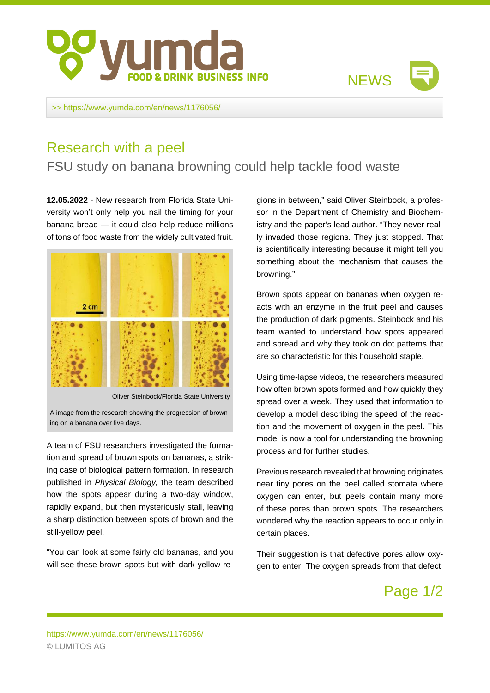



>><https://www.yumda.com/en/news/1176056/>

## Research with a peel

## FSU study on banana browning could help tackle food waste

**12.05.2022** - New research from Florida State University won't only help you nail the timing for your banana bread — it could also help reduce millions of tons of food waste from the widely cultivated fruit.



Oliver Steinbock/Florida State University

A image from the research showing the progression of browning on a banana over five days.

A team of FSU researchers investigated the formation and spread of brown spots on bananas, a striking case of biological pattern formation. In research published in Physical Biology, the team described how the spots appear during a two-day window, rapidly expand, but then mysteriously stall, leaving a sharp distinction between spots of brown and the still-yellow peel.

"You can look at some fairly old bananas, and you will see these brown spots but with dark yellow regions in between," said Oliver Steinbock, a professor in the Department of Chemistry and Biochemistry and the paper's lead author. "They never really invaded those regions. They just stopped. That is scientifically interesting because it might tell you something about the mechanism that causes the browning."

Brown spots appear on bananas when oxygen reacts with an enzyme in the fruit peel and causes the production of dark pigments. Steinbock and his team wanted to understand how spots appeared and spread and why they took on dot patterns that are so characteristic for this household staple.

Using time-lapse videos, the researchers measured how often brown spots formed and how quickly they spread over a week. They used that information to develop a model describing the speed of the reaction and the movement of oxygen in the peel. This model is now a tool for understanding the browning process and for further studies.

Previous research revealed that browning originates near tiny pores on the peel called stomata where oxygen can enter, but peels contain many more of these pores than brown spots. The researchers wondered why the reaction appears to occur only in certain places.

Their suggestion is that defective pores allow oxygen to enter. The oxygen spreads from that defect,

## Page 1/2